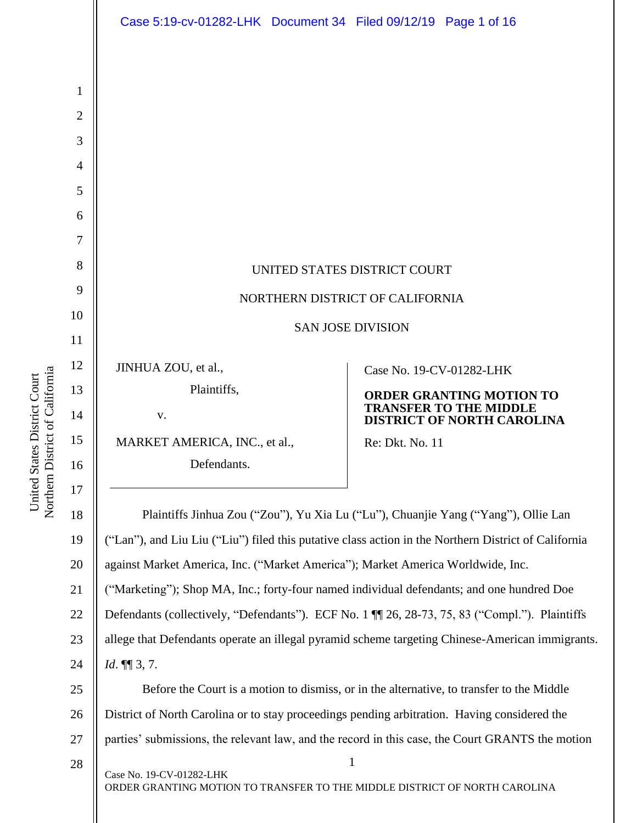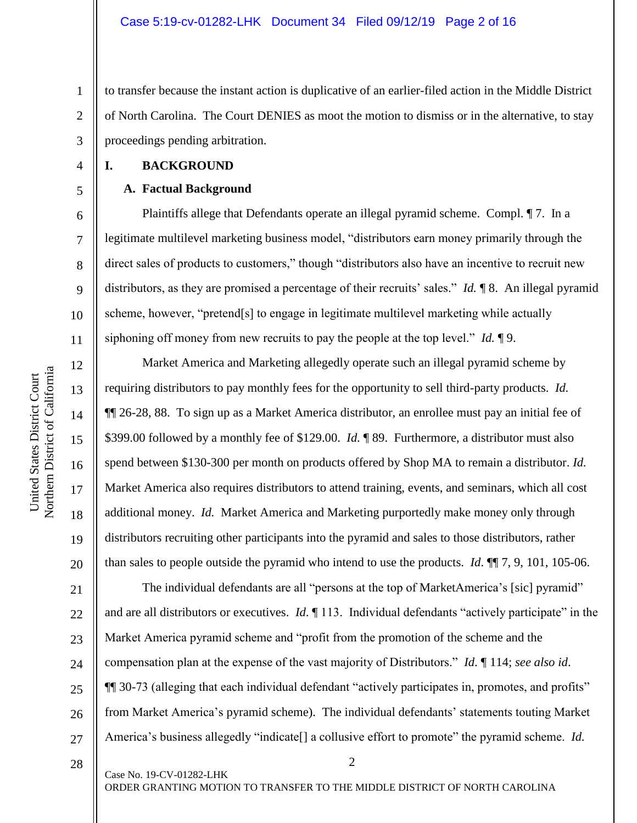to transfer because the instant action is duplicative of an earlier-filed action in the Middle District of North Carolina. The Court DENIES as moot the motion to dismiss or in the alternative, to stay proceedings pending arbitration.

**I. BACKGROUND**

1

2

3

4

5

6

7

8

9

10

11

12

13

14

15

16

17

18

19

20

#### **A. Factual Background**

Plaintiffs allege that Defendants operate an illegal pyramid scheme. Compl. ¶ 7. In a legitimate multilevel marketing business model, "distributors earn money primarily through the direct sales of products to customers," though "distributors also have an incentive to recruit new distributors, as they are promised a percentage of their recruits' sales." *Id.* ¶ 8. An illegal pyramid scheme, however, "pretend[s] to engage in legitimate multilevel marketing while actually siphoning off money from new recruits to pay the people at the top level." *Id.* ¶ 9.

Market America and Marketing allegedly operate such an illegal pyramid scheme by requiring distributors to pay monthly fees for the opportunity to sell third-party products. *Id.* ¶¶ 26-28, 88. To sign up as a Market America distributor, an enrollee must pay an initial fee of \$399.00 followed by a monthly fee of \$129.00. *Id.* ¶ 89. Furthermore, a distributor must also spend between \$130-300 per month on products offered by Shop MA to remain a distributor. *Id.* Market America also requires distributors to attend training, events, and seminars, which all cost additional money. *Id.* Market America and Marketing purportedly make money only through distributors recruiting other participants into the pyramid and sales to those distributors, rather than sales to people outside the pyramid who intend to use the products. *Id*. ¶¶ 7, 9, 101, 105-06.

21 22 23 24 25 26 27 The individual defendants are all "persons at the top of MarketAmerica's [sic] pyramid" and are all distributors or executives. *Id*. ¶ 113. Individual defendants "actively participate" in the Market America pyramid scheme and "profit from the promotion of the scheme and the compensation plan at the expense of the vast majority of Distributors." *Id*. ¶ 114; *see also id*. ¶¶ 30-73 (alleging that each individual defendant "actively participates in, promotes, and profits" from Market America's pyramid scheme). The individual defendants' statements touting Market America's business allegedly "indicate[] a collusive effort to promote" the pyramid scheme. *Id.*

28

Case No. 19-CV-01282-LHK

ORDER GRANTING MOTION TO TRANSFER TO THE MIDDLE DISTRICT OF NORTH CAROLINA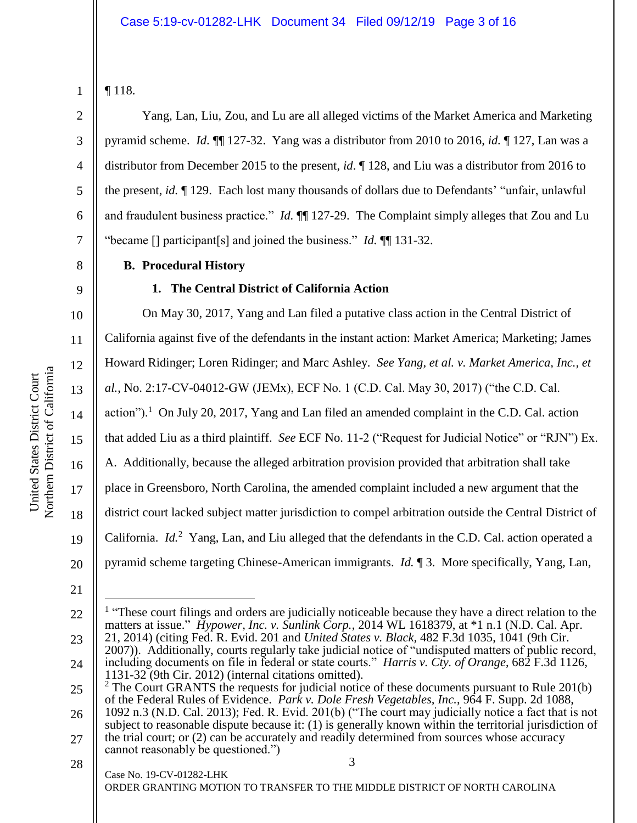¶ 118.

3

4

5

6

7

8

10

11

12

13

14

15

16

17

18

19

Yang, Lan, Liu, Zou, and Lu are all alleged victims of the Market America and Marketing pyramid scheme. *Id*. ¶¶ 127-32. Yang was a distributor from 2010 to 2016, *id.* ¶ 127, Lan was a distributor from December 2015 to the present, *id*. ¶ 128, and Liu was a distributor from 2016 to the present, *id.* ¶ 129. Each lost many thousands of dollars due to Defendants' "unfair, unlawful and fraudulent business practice." *Id.* ¶¶ 127-29. The Complaint simply alleges that Zou and Lu "became [] participant[s] and joined the business." *Id.* ¶¶ 131-32.

**B. Procedural History**

# 9

# **1. The Central District of California Action**

On May 30, 2017, Yang and Lan filed a putative class action in the Central District of California against five of the defendants in the instant action: Market America; Marketing; James Howard Ridinger; Loren Ridinger; and Marc Ashley. *See Yang, et al. v. Market America, Inc., et al.*, No. 2:17-CV-04012-GW (JEMx), ECF No. 1 (C.D. Cal. May 30, 2017) ("the C.D. Cal. action").<sup>1</sup> On July 20, 2017, Yang and Lan filed an amended complaint in the C.D. Cal. action that added Liu as a third plaintiff. *See* ECF No. 11-2 ("Request for Judicial Notice" or "RJN") Ex. A. Additionally, because the alleged arbitration provision provided that arbitration shall take place in Greensboro, North Carolina, the amended complaint included a new argument that the district court lacked subject matter jurisdiction to compel arbitration outside the Central District of California. *Id.*<sup>2</sup> Yang, Lan, and Liu alleged that the defendants in the C.D. Cal. action operated a pyramid scheme targeting Chinese-American immigrants. *Id.* ¶ 3. More specifically, Yang, Lan,

21

20

23 24 2007)). Additionally, courts regularly take judicial notice of "undisputed matters of public record, including documents on file in federal or state courts." *Harris v. Cty. of Orange*, 682 F.3d 1126, 1131-32 (9th Cir. 2012) (internal citations omitted).

ORDER GRANTING MOTION TO TRANSFER TO THE MIDDLE DISTRICT OF NORTH CAROLINA

3

Case No. 19-CV-01282-LHK

<sup>22</sup>  $\overline{a}$ <sup>1</sup> "These court filings and orders are judicially noticeable because they have a direct relation to the matters at issue." *Hypower, Inc. v. Sunlink Corp.*, 2014 WL 1618379, at \*1 n.1 (N.D. Cal. Apr. 21, 2014) (citing Fed. R. Evid. 201 and *United States v. Black,* 482 F.3d 1035, 1041 (9th Cir.

<sup>25</sup>  $2^2$  The Court GRANTS the requests for judicial notice of these documents pursuant to Rule 201(b) of the Federal Rules of Evidence. *Park v. Dole Fresh Vegetables, Inc.*, 964 F. Supp. 2d 1088,

<sup>26</sup> 27 1092 n.3 (N.D. Cal. 2013); Fed. R. Evid. 201(b) ("The court may judicially notice a fact that is not subject to reasonable dispute because it: (1) is generally known within the territorial jurisdiction of the trial court; or (2) can be accurately and readily determined from sources whose accuracy cannot reasonably be questioned.")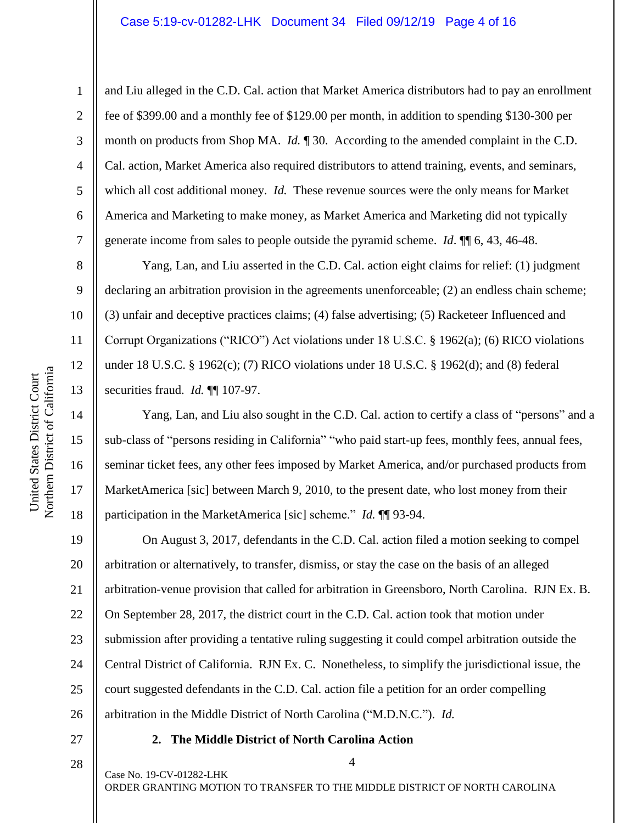#### Case 5:19-cv-01282-LHK Document 34 Filed 09/12/19 Page 4 of 16

8

9

16

United States District Court

Northern District of California United States District Court

17

18

1 2 3 4 5 6 7 and Liu alleged in the C.D. Cal. action that Market America distributors had to pay an enrollment fee of \$399.00 and a monthly fee of \$129.00 per month, in addition to spending \$130-300 per month on products from Shop MA. *Id.* ¶ 30. According to the amended complaint in the C.D. Cal. action, Market America also required distributors to attend training, events, and seminars, which all cost additional money. *Id.* These revenue sources were the only means for Market America and Marketing to make money, as Market America and Marketing did not typically generate income from sales to people outside the pyramid scheme. *Id*. ¶¶ 6, 43, 46-48.

Yang, Lan, and Liu asserted in the C.D. Cal. action eight claims for relief: (1) judgment declaring an arbitration provision in the agreements unenforceable; (2) an endless chain scheme; (3) unfair and deceptive practices claims; (4) false advertising; (5) Racketeer Influenced and Corrupt Organizations ("RICO") Act violations under 18 U.S.C. § 1962(a); (6) RICO violations under 18 U.S.C. § 1962(c); (7) RICO violations under 18 U.S.C. § 1962(d); and (8) federal securities fraud. *Id.* ¶¶ 107-97.

Yang, Lan, and Liu also sought in the C.D. Cal. action to certify a class of "persons" and a sub-class of "persons residing in California" "who paid start-up fees, monthly fees, annual fees, seminar ticket fees, any other fees imposed by Market America, and/or purchased products from MarketAmerica [sic] between March 9, 2010, to the present date, who lost money from their participation in the MarketAmerica [sic] scheme." *Id.* ¶¶ 93-94.

19 20 21 22 23 24 25 26 On August 3, 2017, defendants in the C.D. Cal. action filed a motion seeking to compel arbitration or alternatively, to transfer, dismiss, or stay the case on the basis of an alleged arbitration-venue provision that called for arbitration in Greensboro, North Carolina. RJN Ex. B. On September 28, 2017, the district court in the C.D. Cal. action took that motion under submission after providing a tentative ruling suggesting it could compel arbitration outside the Central District of California. RJN Ex. C. Nonetheless, to simplify the jurisdictional issue, the court suggested defendants in the C.D. Cal. action file a petition for an order compelling arbitration in the Middle District of North Carolina ("M.D.N.C."). *Id.*

27

#### **2. The Middle District of North Carolina Action**

28

Case No. 19-CV-01282-LHK

ORDER GRANTING MOTION TO TRANSFER TO THE MIDDLE DISTRICT OF NORTH CAROLINA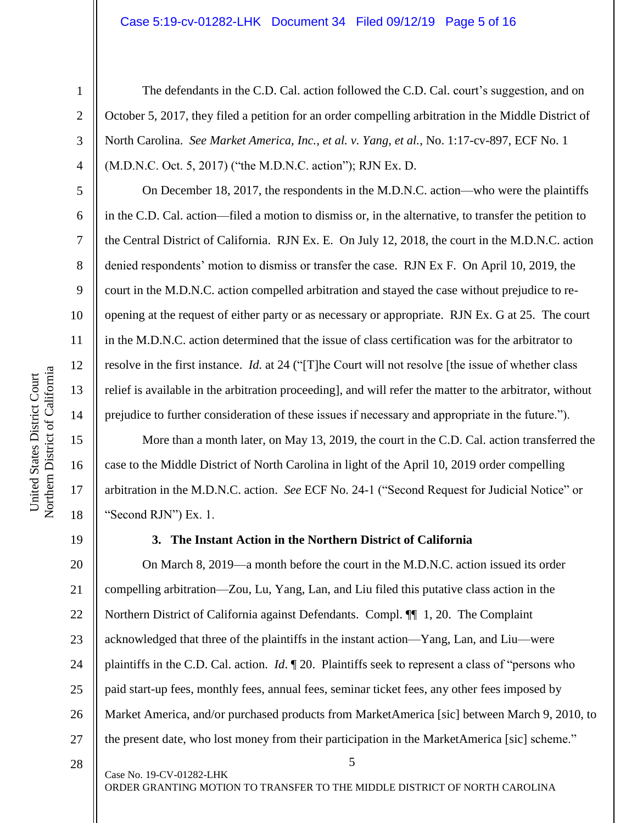#### Case 5:19-cv-01282-LHK Document 34 Filed 09/12/19 Page 5 of 16

2 3

4

5

6

7

8

9

10

11

12

13

14

15

16

17

18

1

The defendants in the C.D. Cal. action followed the C.D. Cal. court's suggestion, and on October 5, 2017, they filed a petition for an order compelling arbitration in the Middle District of North Carolina. *See Market America, Inc., et al. v. Yang, et al.*, No. 1:17-cv-897, ECF No. 1 (M.D.N.C. Oct. 5, 2017) ("the M.D.N.C. action"); RJN Ex. D.

On December 18, 2017, the respondents in the M.D.N.C. action—who were the plaintiffs in the C.D. Cal. action—filed a motion to dismiss or, in the alternative, to transfer the petition to the Central District of California. RJN Ex. E. On July 12, 2018, the court in the M.D.N.C. action denied respondents' motion to dismiss or transfer the case. RJN Ex F. On April 10, 2019, the court in the M.D.N.C. action compelled arbitration and stayed the case without prejudice to reopening at the request of either party or as necessary or appropriate. RJN Ex. G at 25. The court in the M.D.N.C. action determined that the issue of class certification was for the arbitrator to resolve in the first instance. *Id.* at 24 ("[T]he Court will not resolve [the issue of whether class relief is available in the arbitration proceeding], and will refer the matter to the arbitrator, without prejudice to further consideration of these issues if necessary and appropriate in the future.").

More than a month later, on May 13, 2019, the court in the C.D. Cal. action transferred the case to the Middle District of North Carolina in light of the April 10, 2019 order compelling arbitration in the M.D.N.C. action. *See* ECF No. 24-1 ("Second Request for Judicial Notice" or "Second RJN") Ex. 1.

19

#### **3. The Instant Action in the Northern District of California**

20 21 22 23 24 25 26 27 On March 8, 2019—a month before the court in the M.D.N.C. action issued its order compelling arbitration—Zou, Lu, Yang, Lan, and Liu filed this putative class action in the Northern District of California against Defendants. Compl. ¶¶ 1, 20. The Complaint acknowledged that three of the plaintiffs in the instant action—Yang, Lan, and Liu—were plaintiffs in the C.D. Cal. action. *Id*. ¶ 20. Plaintiffs seek to represent a class of "persons who paid start-up fees, monthly fees, annual fees, seminar ticket fees, any other fees imposed by Market America, and/or purchased products from MarketAmerica [sic] between March 9, 2010, to the present date, who lost money from their participation in the MarketAmerica [sic] scheme."

28

Case No. 19-CV-01282-LHK

ORDER GRANTING MOTION TO TRANSFER TO THE MIDDLE DISTRICT OF NORTH CAROLINA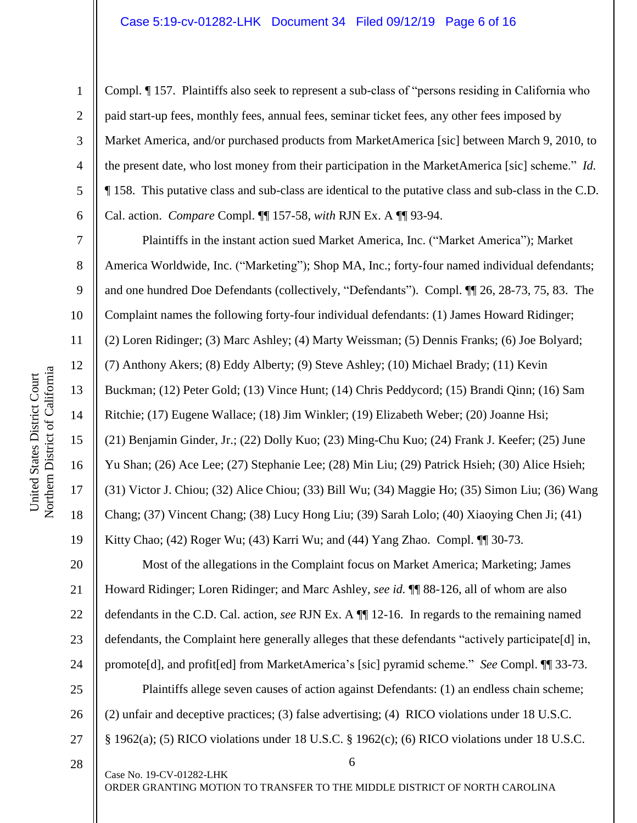#### Case 5:19-cv-01282-LHK Document 34 Filed 09/12/19 Page 6 of 16

1

2

3

4

5

6

7

8

9

10

11

12

13

14

15

United States District Court

United States District Court

16

17

18

19

Compl. ¶ 157. Plaintiffs also seek to represent a sub-class of "persons residing in California who paid start-up fees, monthly fees, annual fees, seminar ticket fees, any other fees imposed by Market America, and/or purchased products from MarketAmerica [sic] between March 9, 2010, to the present date, who lost money from their participation in the MarketAmerica [sic] scheme." *Id.* ¶ 158. This putative class and sub-class are identical to the putative class and sub-class in the C.D. Cal. action. *Compare* Compl. ¶¶ 157-58, *with* RJN Ex. A ¶¶ 93-94.

Plaintiffs in the instant action sued Market America, Inc. ("Market America"); Market America Worldwide, Inc. ("Marketing"); Shop MA, Inc.; forty-four named individual defendants; and one hundred Doe Defendants (collectively, "Defendants"). Compl. ¶¶ 26, 28-73, 75, 83. The Complaint names the following forty-four individual defendants: (1) James Howard Ridinger; (2) Loren Ridinger; (3) Marc Ashley; (4) Marty Weissman; (5) Dennis Franks; (6) Joe Bolyard; (7) Anthony Akers; (8) Eddy Alberty; (9) Steve Ashley; (10) Michael Brady; (11) Kevin Buckman; (12) Peter Gold; (13) Vince Hunt; (14) Chris Peddycord; (15) Brandi Qinn; (16) Sam Ritchie; (17) Eugene Wallace; (18) Jim Winkler; (19) Elizabeth Weber; (20) Joanne Hsi; (21) Benjamin Ginder, Jr.; (22) Dolly Kuo; (23) Ming-Chu Kuo; (24) Frank J. Keefer; (25) June Yu Shan; (26) Ace Lee; (27) Stephanie Lee; (28) Min Liu; (29) Patrick Hsieh; (30) Alice Hsieh; (31) Victor J. Chiou; (32) Alice Chiou; (33) Bill Wu; (34) Maggie Ho; (35) Simon Liu; (36) Wang Chang; (37) Vincent Chang; (38) Lucy Hong Liu; (39) Sarah Lolo; (40) Xiaoying Chen Ji; (41) Kitty Chao;  $(42)$  Roger Wu;  $(43)$  Karri Wu; and  $(44)$  Yang Zhao. Compl.  $\P$  30-73.

20 21 22 23 24 25 26 27 Most of the allegations in the Complaint focus on Market America; Marketing; James Howard Ridinger; Loren Ridinger; and Marc Ashley, *see id.* ¶¶ 88-126, all of whom are also defendants in the C.D. Cal. action, *see* RJN Ex. A ¶¶ 12-16. In regards to the remaining named defendants, the Complaint here generally alleges that these defendants "actively participate[d] in, promote[d], and profit[ed] from MarketAmerica's [sic] pyramid scheme." *See* Compl. ¶¶ 33-73. Plaintiffs allege seven causes of action against Defendants: (1) an endless chain scheme; (2) unfair and deceptive practices; (3) false advertising; (4) RICO violations under 18 U.S.C. § 1962(a); (5) RICO violations under 18 U.S.C. § 1962(c); (6) RICO violations under 18 U.S.C.

28

Case No. 19-CV-01282-LHK

ORDER GRANTING MOTION TO TRANSFER TO THE MIDDLE DISTRICT OF NORTH CAROLINA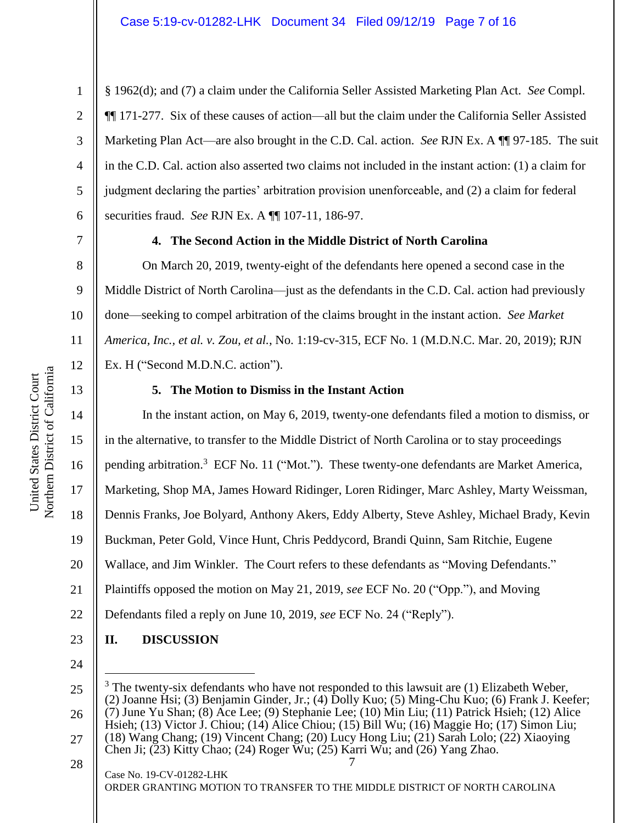1

§ 1962(d); and (7) a claim under the California Seller Assisted Marketing Plan Act. *See* Compl. ¶¶ 171-277. Six of these causes of action—all but the claim under the California Seller Assisted Marketing Plan Act—are also brought in the C.D. Cal. action. *See* RJN Ex. A ¶¶ 97-185. The suit in the C.D. Cal. action also asserted two claims not included in the instant action: (1) a claim for judgment declaring the parties' arbitration provision unenforceable, and (2) a claim for federal securities fraud. *See* RJN Ex. A ¶¶ 107-11, 186-97.

7

8

9

10

11

12

13

5

6

# **4. The Second Action in the Middle District of North Carolina**

On March 20, 2019, twenty-eight of the defendants here opened a second case in the Middle District of North Carolina—just as the defendants in the C.D. Cal. action had previously done—seeking to compel arbitration of the claims brought in the instant action. *See Market America, Inc., et al. v. Zou, et al.*, No. 1:19-cv-315, ECF No. 1 (M.D.N.C. Mar. 20, 2019); RJN Ex. H ("Second M.D.N.C. action").

## **5. The Motion to Dismiss in the Instant Action**

14 15 16 17 18 19 20 21 22 23 In the instant action, on May 6, 2019, twenty-one defendants filed a motion to dismiss, or in the alternative, to transfer to the Middle District of North Carolina or to stay proceedings pending arbitration.<sup>3</sup> ECF No. 11 ("Mot."). These twenty-one defendants are Market America, Marketing, Shop MA, James Howard Ridinger, Loren Ridinger, Marc Ashley, Marty Weissman, Dennis Franks, Joe Bolyard, Anthony Akers, Eddy Alberty, Steve Ashley, Michael Brady, Kevin Buckman, Peter Gold, Vince Hunt, Chris Peddycord, Brandi Quinn, Sam Ritchie, Eugene Wallace, and Jim Winkler. The Court refers to these defendants as "Moving Defendants." Plaintiffs opposed the motion on May 21, 2019, *see* ECF No. 20 ("Opp."), and Moving Defendants filed a reply on June 10, 2019, *see* ECF No. 24 ("Reply"). **II. DISCUSSION**

24

 $\overline{a}$ 

ORDER GRANTING MOTION TO TRANSFER TO THE MIDDLE DISTRICT OF NORTH CAROLINA

<sup>7</sup> Case No. 19-CV-01282-LHK 25 26 27 28  $3$  The twenty-six defendants who have not responded to this lawsuit are (1) Elizabeth Weber, (2) Joanne Hsi; (3) Benjamin Ginder, Jr.; (4) Dolly Kuo; (5) Ming-Chu Kuo; (6) Frank J. Keefer; (7) June Yu Shan; (8) Ace Lee; (9) Stephanie Lee; (10) Min Liu; (11) Patrick Hsieh; (12) Alice Hsieh; (13) Victor J. Chiou; (14) Alice Chiou; (15) Bill Wu; (16) Maggie Ho; (17) Simon Liu; (18) Wang Chang; (19) Vincent Chang; (20) Lucy Hong Liu; (21) Sarah Lolo; (22) Xiaoying Chen Ji; (23) Kitty Chao; (24) Roger Wu; (25) Karri Wu; and (26) Yang Zhao.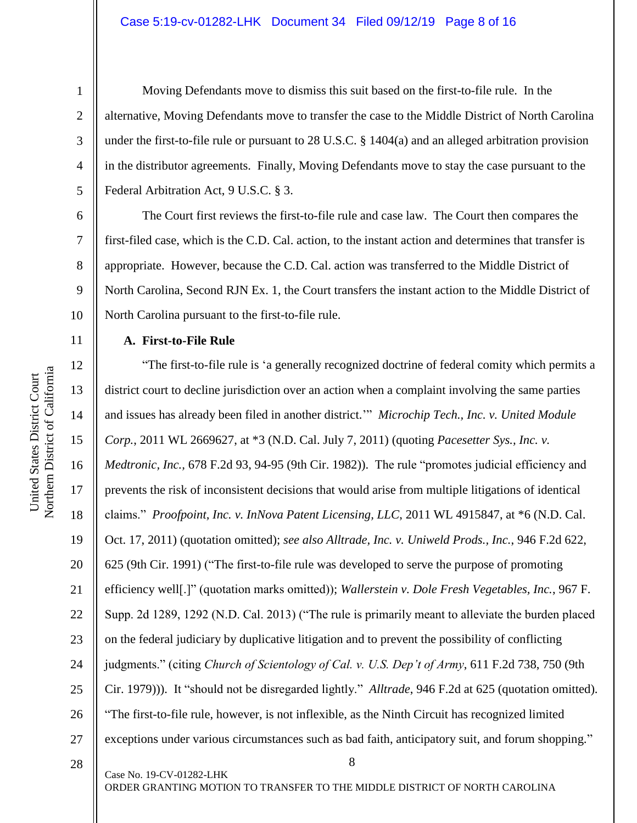#### Case 5:19-cv-01282-LHK Document 34 Filed 09/12/19 Page 8 of 16

1

2

3

4

5

6

7

8

9

10

11

12

13

14

15

16

17

18

19

20

21

22

23

24

25

26

27

Moving Defendants move to dismiss this suit based on the first-to-file rule. In the alternative, Moving Defendants move to transfer the case to the Middle District of North Carolina under the first-to-file rule or pursuant to 28 U.S.C. § 1404(a) and an alleged arbitration provision in the distributor agreements. Finally, Moving Defendants move to stay the case pursuant to the Federal Arbitration Act, 9 U.S.C. § 3.

The Court first reviews the first-to-file rule and case law. The Court then compares the first-filed case, which is the C.D. Cal. action, to the instant action and determines that transfer is appropriate. However, because the C.D. Cal. action was transferred to the Middle District of North Carolina, Second RJN Ex. 1, the Court transfers the instant action to the Middle District of North Carolina pursuant to the first-to-file rule.

## **A. First-to-File Rule**

Case No. 19-CV-01282-LHK

8 "The first-to-file rule is 'a generally recognized doctrine of federal comity which permits a district court to decline jurisdiction over an action when a complaint involving the same parties and issues has already been filed in another district.'" *Microchip Tech., Inc. v. United Module Corp.*, 2011 WL 2669627, at \*3 (N.D. Cal. July 7, 2011) (quoting *Pacesetter Sys., Inc. v. Medtronic, Inc.,* 678 F.2d 93, 94-95 (9th Cir. 1982)). The rule "promotes judicial efficiency and prevents the risk of inconsistent decisions that would arise from multiple litigations of identical claims." *Proofpoint, Inc. v. InNova Patent Licensing, LLC*, 2011 WL 4915847, at \*6 (N.D. Cal. Oct. 17, 2011) (quotation omitted); *see also Alltrade, Inc. v. Uniweld Prods., Inc.*, 946 F.2d 622, 625 (9th Cir. 1991) ("The first-to-file rule was developed to serve the purpose of promoting efficiency well[.]" (quotation marks omitted)); *Wallerstein v. Dole Fresh Vegetables, Inc.*, 967 F. Supp. 2d 1289, 1292 (N.D. Cal. 2013) ("The rule is primarily meant to alleviate the burden placed on the federal judiciary by duplicative litigation and to prevent the possibility of conflicting judgments." (citing *Church of Scientology of Cal. v. U.S. Dep't of Army*, 611 F.2d 738, 750 (9th Cir. 1979))). It "should not be disregarded lightly." *Alltrade*, 946 F.2d at 625 (quotation omitted). "The first-to-file rule, however, is not inflexible, as the Ninth Circuit has recognized limited exceptions under various circumstances such as bad faith, anticipatory suit, and forum shopping."

Northern District of California Northern District of California United States District Court United States District Court

28

ORDER GRANTING MOTION TO TRANSFER TO THE MIDDLE DISTRICT OF NORTH CAROLINA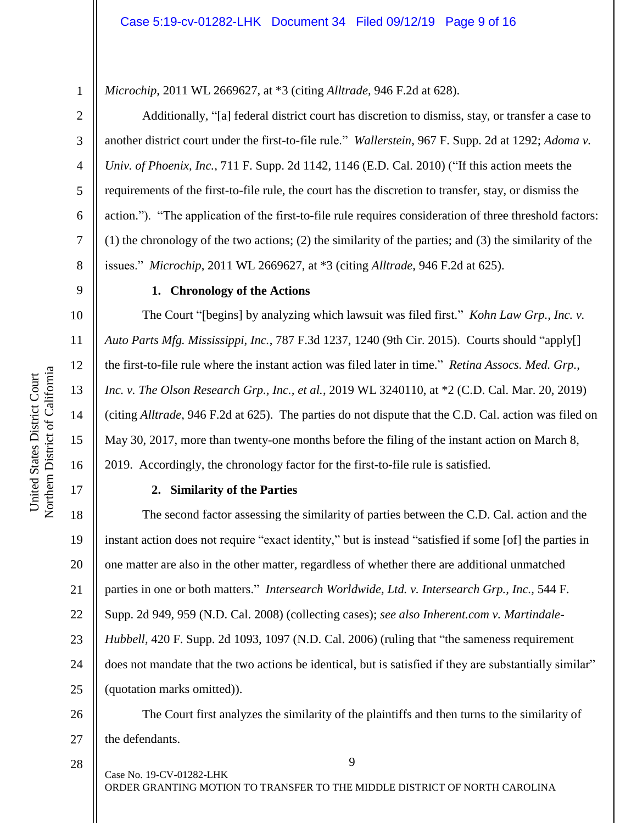*Microchip*, 2011 WL 2669627, at \*3 (citing *Alltrade,* 946 F.2d at 628).

Additionally, "[a] federal district court has discretion to dismiss, stay, or transfer a case to another district court under the first-to-file rule." *Wallerstein*, 967 F. Supp. 2d at 1292; *Adoma v. Univ. of Phoenix, Inc.*, 711 F. Supp. 2d 1142, 1146 (E.D. Cal. 2010) ("If this action meets the requirements of the first-to-file rule, the court has the discretion to transfer, stay, or dismiss the action."). "The application of the first-to-file rule requires consideration of three threshold factors: (1) the chronology of the two actions; (2) the similarity of the parties; and (3) the similarity of the issues." *Microchip*, 2011 WL 2669627, at \*3 (citing *Alltrade*, 946 F.2d at 625).

## 9

1

2

3

4

5

6

7

8

10

11

12

13

14

15

16

17

28

# **1. Chronology of the Actions**

The Court "[begins] by analyzing which lawsuit was filed first." *Kohn Law Grp., Inc. v. Auto Parts Mfg. Mississippi, Inc.*, 787 F.3d 1237, 1240 (9th Cir. 2015). Courts should "apply[] the first-to-file rule where the instant action was filed later in time." *Retina Assocs. Med. Grp., Inc. v. The Olson Research Grp., Inc., et al.*, 2019 WL 3240110, at \*2 (C.D. Cal. Mar. 20, 2019) (citing *Alltrade*, 946 F.2d at 625). The parties do not dispute that the C.D. Cal. action was filed on May 30, 2017, more than twenty-one months before the filing of the instant action on March 8, 2019. Accordingly, the chronology factor for the first-to-file rule is satisfied.

## **2. Similarity of the Parties**

18 19 20 21 22 23 24 25 The second factor assessing the similarity of parties between the C.D. Cal. action and the instant action does not require "exact identity," but is instead "satisfied if some [of] the parties in one matter are also in the other matter, regardless of whether there are additional unmatched parties in one or both matters." *Intersearch Worldwide, Ltd. v. Intersearch Grp., Inc.,* 544 F. Supp. 2d 949, 959 (N.D. Cal. 2008) (collecting cases); *see also Inherent.com v. Martindale-Hubbell,* 420 F. Supp. 2d 1093, 1097 (N.D. Cal. 2006) (ruling that "the sameness requirement does not mandate that the two actions be identical, but is satisfied if they are substantially similar" (quotation marks omitted)).

26 27 The Court first analyzes the similarity of the plaintiffs and then turns to the similarity of the defendants.

Case No. 19-CV-01282-LHK

ORDER GRANTING MOTION TO TRANSFER TO THE MIDDLE DISTRICT OF NORTH CAROLINA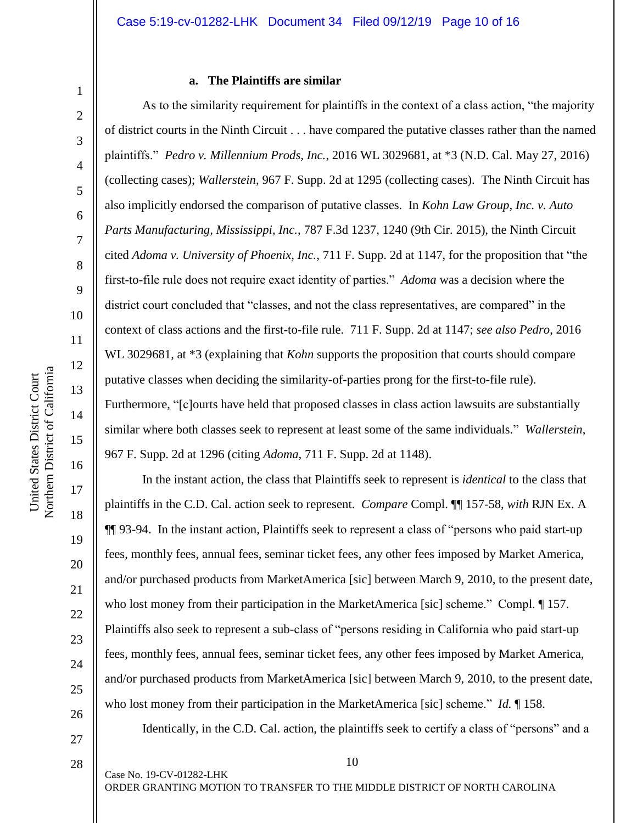# **a. The Plaintiffs are similar**

As to the similarity requirement for plaintiffs in the context of a class action, "the majority of district courts in the Ninth Circuit . . . have compared the putative classes rather than the named plaintiffs." *Pedro v. Millennium Prods, Inc.*, 2016 WL 3029681, at \*3 (N.D. Cal. May 27, 2016) (collecting cases); *Wallerstein*, 967 F. Supp. 2d at 1295 (collecting cases). The Ninth Circuit has also implicitly endorsed the comparison of putative classes. In *Kohn Law Group, Inc. v. Auto Parts Manufacturing, Mississippi, Inc.*, 787 F.3d 1237, 1240 (9th Cir. 2015), the Ninth Circuit cited *Adoma v. University of Phoenix, Inc.*, 711 F. Supp. 2d at 1147, for the proposition that "the first-to-file rule does not require exact identity of parties." *Adoma* was a decision where the district court concluded that "classes, and not the class representatives, are compared" in the context of class actions and the first-to-file rule. 711 F. Supp. 2d at 1147; *see also Pedro*, 2016 WL 3029681, at  $*3$  (explaining that *Kohn* supports the proposition that courts should compare putative classes when deciding the similarity-of-parties prong for the first-to-file rule). Furthermore, "[c]ourts have held that proposed classes in class action lawsuits are substantially similar where both classes seek to represent at least some of the same individuals." *Wallerstein*, 967 F. Supp. 2d at 1296 (citing *Adoma*, 711 F. Supp. 2d at 1148).

In the instant action, the class that Plaintiffs seek to represent is *identical* to the class that plaintiffs in the C.D. Cal. action seek to represent. *Compare* Compl. ¶¶ 157-58, *with* RJN Ex. A ¶¶ 93-94. In the instant action, Plaintiffs seek to represent a class of "persons who paid start-up fees, monthly fees, annual fees, seminar ticket fees, any other fees imposed by Market America, and/or purchased products from MarketAmerica [sic] between March 9, 2010, to the present date, who lost money from their participation in the MarketAmerica [sic] scheme." Compl.  $\P$  157. Plaintiffs also seek to represent a sub-class of "persons residing in California who paid start-up fees, monthly fees, annual fees, seminar ticket fees, any other fees imposed by Market America, and/or purchased products from MarketAmerica [sic] between March 9, 2010, to the present date, who lost money from their participation in the MarketAmerica [sic] scheme." *Id.* ¶ 158.

Identically, in the C.D. Cal. action, the plaintiffs seek to certify a class of "persons" and a

10

ORDER GRANTING MOTION TO TRANSFER TO THE MIDDLE DISTRICT OF NORTH CAROLINA

1

2

3

4

5

6

7

8

9

10

11

12

13

14

15

16

17

18

19

20

21

22

23

24

25

26

27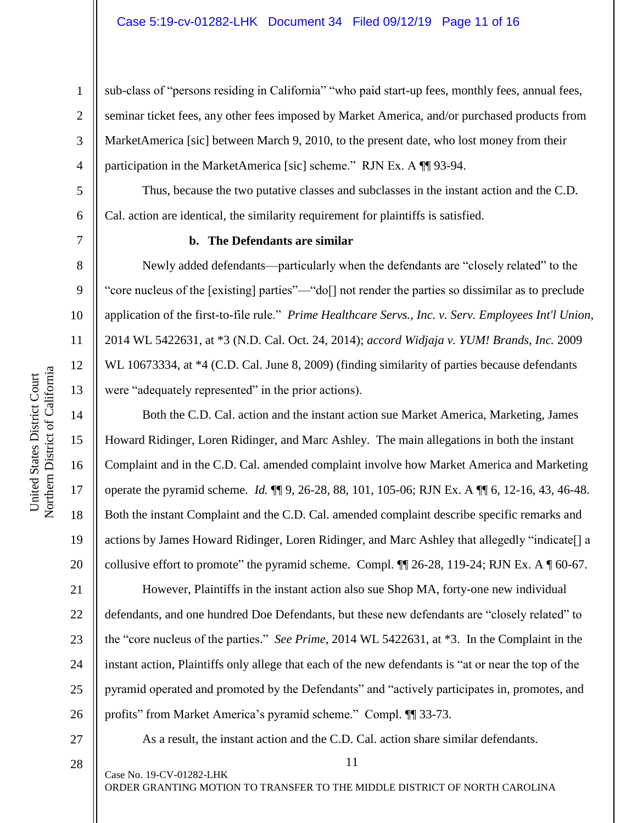sub-class of "persons residing in California" "who paid start-up fees, monthly fees, annual fees, seminar ticket fees, any other fees imposed by Market America, and/or purchased products from MarketAmerica [sic] between March 9, 2010, to the present date, who lost money from their participation in the MarketAmerica [sic] scheme." RJN Ex. A ¶ 93-94.

Thus, because the two putative classes and subclasses in the instant action and the C.D. Cal. action are identical, the similarity requirement for plaintiffs is satisfied.

1

2

3

4

5

6

7

8

9

10

11

12

13

14

15

16

17

18

19

20

21

22

23

24

25

26

# **b. The Defendants are similar**

Newly added defendants—particularly when the defendants are "closely related" to the "core nucleus of the [existing] parties"—"do[] not render the parties so dissimilar as to preclude application of the first-to-file rule." *Prime Healthcare Servs., Inc. v. Serv. Employees Int'l Union*, 2014 WL 5422631, at \*3 (N.D. Cal. Oct. 24, 2014); *accord Widjaja v. YUM! Brands, Inc.* 2009 WL 10673334, at  $*4$  (C.D. Cal. June 8, 2009) (finding similarity of parties because defendants were "adequately represented" in the prior actions).

Both the C.D. Cal. action and the instant action sue Market America, Marketing, James Howard Ridinger, Loren Ridinger, and Marc Ashley. The main allegations in both the instant Complaint and in the C.D. Cal. amended complaint involve how Market America and Marketing operate the pyramid scheme. *Id.* ¶¶ 9, 26-28, 88, 101, 105-06; RJN Ex. A ¶¶ 6, 12-16, 43, 46-48. Both the instant Complaint and the C.D. Cal. amended complaint describe specific remarks and actions by James Howard Ridinger, Loren Ridinger, and Marc Ashley that allegedly "indicate[] a collusive effort to promote" the pyramid scheme. Compl. ¶¶ 26-28, 119-24; RJN Ex. A ¶ 60-67.

However, Plaintiffs in the instant action also sue Shop MA, forty-one new individual defendants, and one hundred Doe Defendants, but these new defendants are "closely related" to the "core nucleus of the parties." *See Prime*, 2014 WL 5422631, at \*3. In the Complaint in the instant action, Plaintiffs only allege that each of the new defendants is "at or near the top of the pyramid operated and promoted by the Defendants" and "actively participates in, promotes, and profits" from Market America's pyramid scheme." Compl. ¶¶ 33-73.

27

As a result, the instant action and the C.D. Cal. action share similar defendants.

11

28

Case No. 19-CV-01282-LHK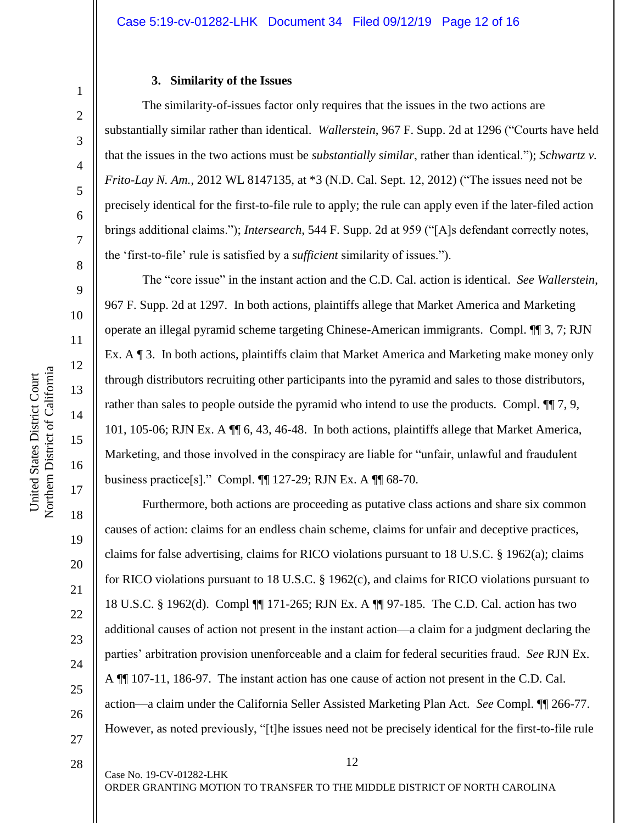#### **3. Similarity of the Issues**

The similarity-of-issues factor only requires that the issues in the two actions are substantially similar rather than identical. *Wallerstein*, 967 F. Supp. 2d at 1296 ("Courts have held that the issues in the two actions must be *substantially similar*, rather than identical."); *Schwartz v. Frito-Lay N. Am.*, 2012 WL 8147135, at \*3 (N.D. Cal. Sept. 12, 2012) ("The issues need not be precisely identical for the first-to-file rule to apply; the rule can apply even if the later-filed action brings additional claims."); *Intersearch*, 544 F. Supp. 2d at 959 ("[A]s defendant correctly notes, the 'first-to-file' rule is satisfied by a *sufficient* similarity of issues.").

The "core issue" in the instant action and the C.D. Cal. action is identical. *See Wallerstein*, 967 F. Supp. 2d at 1297. In both actions, plaintiffs allege that Market America and Marketing operate an illegal pyramid scheme targeting Chinese-American immigrants. Compl. ¶¶ 3, 7; RJN Ex. A ¶ 3. In both actions, plaintiffs claim that Market America and Marketing make money only through distributors recruiting other participants into the pyramid and sales to those distributors, rather than sales to people outside the pyramid who intend to use the products. Compl.  $\P$  7, 9, 101, 105-06; RJN Ex. A ¶¶ 6, 43, 46-48. In both actions, plaintiffs allege that Market America, Marketing, and those involved in the conspiracy are liable for "unfair, unlawful and fraudulent business practice[s]." Compl. ¶¶ 127-29; RJN Ex. A ¶¶ 68-70.

Furthermore, both actions are proceeding as putative class actions and share six common causes of action: claims for an endless chain scheme, claims for unfair and deceptive practices, claims for false advertising, claims for RICO violations pursuant to 18 U.S.C. § 1962(a); claims for RICO violations pursuant to 18 U.S.C. § 1962(c), and claims for RICO violations pursuant to 18 U.S.C. § 1962(d). Compl ¶¶ 171-265; RJN Ex. A ¶¶ 97-185. The C.D. Cal. action has two additional causes of action not present in the instant action—a claim for a judgment declaring the parties' arbitration provision unenforceable and a claim for federal securities fraud. *See* RJN Ex. A ¶¶ 107-11, 186-97. The instant action has one cause of action not present in the C.D. Cal. action—a claim under the California Seller Assisted Marketing Plan Act. *See* Compl. ¶¶ 266-77. However, as noted previously, "[t]he issues need not be precisely identical for the first-to-file rule

1

2

3

4

5

6

7

8

9

10

11

12

13

14

15

16

17

18

19

20

21

22

23

24

25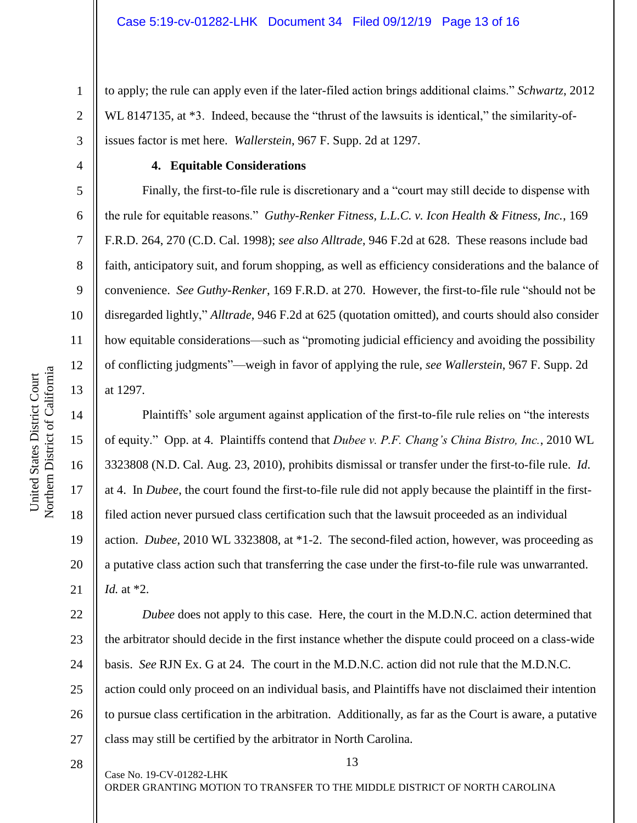to apply; the rule can apply even if the later-filed action brings additional claims." *Schwartz*, 2012 WL 8147135, at  $*3$ . Indeed, because the "thrust of the lawsuits is identical," the similarity-ofissues factor is met here. *Wallerstein*, 967 F. Supp. 2d at 1297.

1

2

3

4

5

6

7

8

9

10

11

12

13

14

15

16

17

18

19

20

21

## **4. Equitable Considerations**

Finally, the first-to-file rule is discretionary and a "court may still decide to dispense with the rule for equitable reasons." *Guthy-Renker Fitness, L.L.C. v. Icon Health & Fitness, Inc.*, 169 F.R.D. 264, 270 (C.D. Cal. 1998); *see also Alltrade*, 946 F.2d at 628. These reasons include bad faith, anticipatory suit, and forum shopping, as well as efficiency considerations and the balance of convenience. *See Guthy-Renker*, 169 F.R.D. at 270. However, the first-to-file rule "should not be disregarded lightly," *Alltrade*, 946 F.2d at 625 (quotation omitted), and courts should also consider how equitable considerations—such as "promoting judicial efficiency and avoiding the possibility of conflicting judgments"—weigh in favor of applying the rule, *see Wallerstein*, 967 F. Supp. 2d at 1297.

Plaintiffs' sole argument against application of the first-to-file rule relies on "the interests of equity." Opp. at 4. Plaintiffs contend that *Dubee v. P.F. Chang's China Bistro, Inc.*, 2010 WL 3323808 (N.D. Cal. Aug. 23, 2010), prohibits dismissal or transfer under the first-to-file rule. *Id*. at 4. In *Dubee*, the court found the first-to-file rule did not apply because the plaintiff in the firstfiled action never pursued class certification such that the lawsuit proceeded as an individual action. *Dubee*, 2010 WL 3323808, at \*1-2. The second-filed action, however, was proceeding as a putative class action such that transferring the case under the first-to-file rule was unwarranted. *Id.* at \*2.

22 23 24 25 26 27 *Dubee* does not apply to this case. Here, the court in the M.D.N.C. action determined that the arbitrator should decide in the first instance whether the dispute could proceed on a class-wide basis. *See* RJN Ex. G at 24. The court in the M.D.N.C. action did not rule that the M.D.N.C. action could only proceed on an individual basis, and Plaintiffs have not disclaimed their intention to pursue class certification in the arbitration. Additionally, as far as the Court is aware, a putative class may still be certified by the arbitrator in North Carolina.

28

Case No. 19-CV-01282-LHK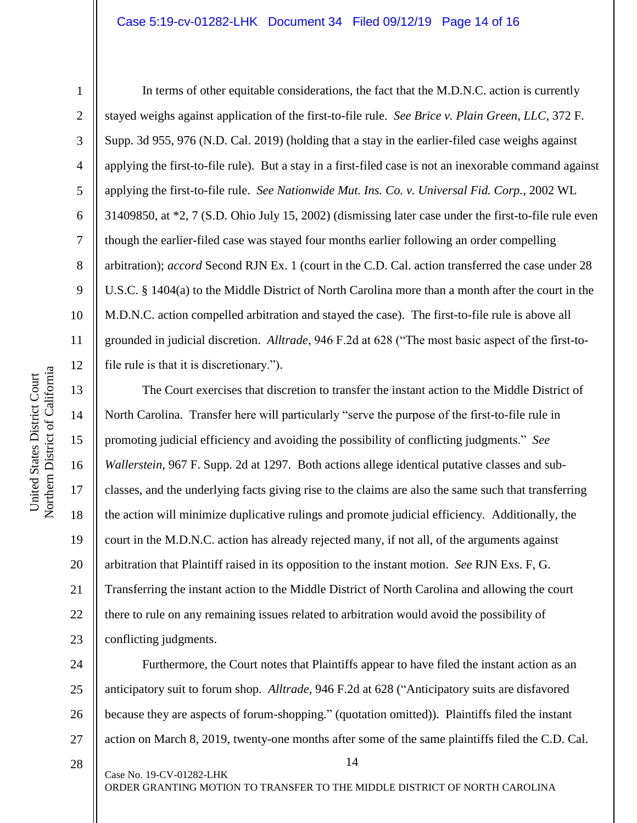1

2

3

4

5

8

9

11

13

14

15

United States District Court

United States District Court

17

18

19

21

23

6 7 10 12 In terms of other equitable considerations, the fact that the M.D.N.C. action is currently stayed weighs against application of the first-to-file rule. *See Brice v. Plain Green, LLC*, 372 F. Supp. 3d 955, 976 (N.D. Cal. 2019) (holding that a stay in the earlier-filed case weighs against applying the first-to-file rule). But a stay in a first-filed case is not an inexorable command against applying the first-to-file rule. *See Nationwide Mut. Ins. Co. v. Universal Fid. Corp.*, 2002 WL 31409850, at \*2, 7 (S.D. Ohio July 15, 2002) (dismissing later case under the first-to-file rule even though the earlier-filed case was stayed four months earlier following an order compelling arbitration); *accord* Second RJN Ex. 1 (court in the C.D. Cal. action transferred the case under 28 U.S.C. § 1404(a) to the Middle District of North Carolina more than a month after the court in the M.D.N.C. action compelled arbitration and stayed the case). The first-to-file rule is above all grounded in judicial discretion. *Alltrade*, 946 F.2d at 628 ("The most basic aspect of the first-tofile rule is that it is discretionary.").

16 20 22 The Court exercises that discretion to transfer the instant action to the Middle District of North Carolina. Transfer here will particularly "serve the purpose of the first-to-file rule in promoting judicial efficiency and avoiding the possibility of conflicting judgments." *See Wallerstein*, 967 F. Supp. 2d at 1297. Both actions allege identical putative classes and subclasses, and the underlying facts giving rise to the claims are also the same such that transferring the action will minimize duplicative rulings and promote judicial efficiency. Additionally, the court in the M.D.N.C. action has already rejected many, if not all, of the arguments against arbitration that Plaintiff raised in its opposition to the instant motion. *See* RJN Exs. F, G. Transferring the instant action to the Middle District of North Carolina and allowing the court there to rule on any remaining issues related to arbitration would avoid the possibility of conflicting judgments.

24 25 26 27 Furthermore, the Court notes that Plaintiffs appear to have filed the instant action as an anticipatory suit to forum shop. *Alltrade*, 946 F.2d at 628 ("Anticipatory suits are disfavored because they are aspects of forum-shopping." (quotation omitted)). Plaintiffs filed the instant action on March 8, 2019, twenty-one months after some of the same plaintiffs filed the C.D. Cal.

28

Case No. 19-CV-01282-LHK

ORDER GRANTING MOTION TO TRANSFER TO THE MIDDLE DISTRICT OF NORTH CAROLINA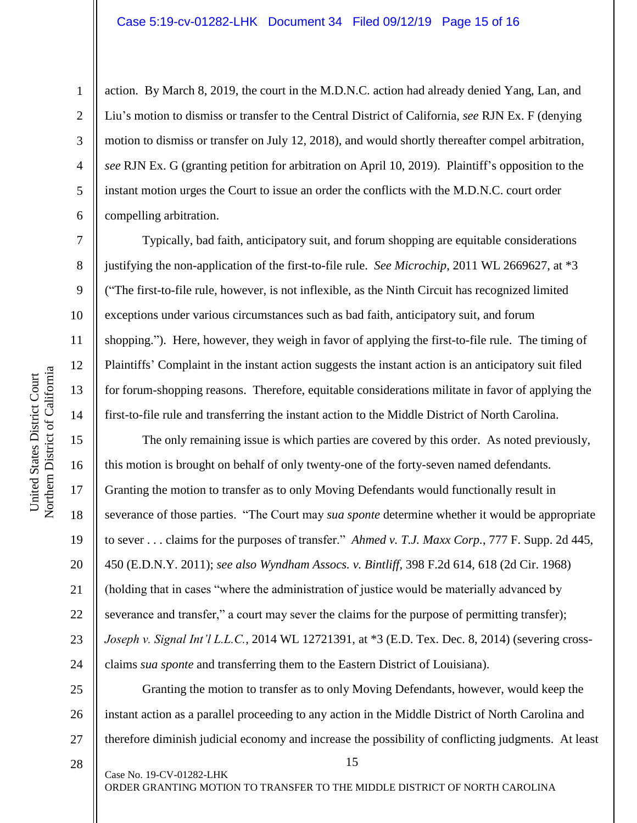action. By March 8, 2019, the court in the M.D.N.C. action had already denied Yang, Lan, and Liu's motion to dismiss or transfer to the Central District of California, *see* RJN Ex. F (denying motion to dismiss or transfer on July 12, 2018), and would shortly thereafter compel arbitration, *see* RJN Ex. G (granting petition for arbitration on April 10, 2019). Plaintiff's opposition to the instant motion urges the Court to issue an order the conflicts with the M.D.N.C. court order compelling arbitration.

Typically, bad faith, anticipatory suit, and forum shopping are equitable considerations justifying the non-application of the first-to-file rule. *See Microchip*, 2011 WL 2669627, at \*3 ("The first-to-file rule, however, is not inflexible, as the Ninth Circuit has recognized limited exceptions under various circumstances such as bad faith, anticipatory suit, and forum shopping."). Here, however, they weigh in favor of applying the first-to-file rule. The timing of Plaintiffs' Complaint in the instant action suggests the instant action is an anticipatory suit filed for forum-shopping reasons. Therefore, equitable considerations militate in favor of applying the first-to-file rule and transferring the instant action to the Middle District of North Carolina.

The only remaining issue is which parties are covered by this order. As noted previously, this motion is brought on behalf of only twenty-one of the forty-seven named defendants. Granting the motion to transfer as to only Moving Defendants would functionally result in severance of those parties. "The Court may *sua sponte* determine whether it would be appropriate to sever . . . claims for the purposes of transfer." *Ahmed v. T.J. Maxx Corp.*, 777 F. Supp. 2d 445, 450 (E.D.N.Y. 2011); *see also Wyndham Assocs. v. Bintliff*, 398 F.2d 614, 618 (2d Cir. 1968) (holding that in cases "where the administration of justice would be materially advanced by severance and transfer," a court may sever the claims for the purpose of permitting transfer); *Joseph v. Signal Int'l L.L.C.*, 2014 WL 12721391, at \*3 (E.D. Tex. Dec. 8, 2014) (severing crossclaims *sua sponte* and transferring them to the Eastern District of Louisiana).

25 26 27 Granting the motion to transfer as to only Moving Defendants, however, would keep the instant action as a parallel proceeding to any action in the Middle District of North Carolina and therefore diminish judicial economy and increase the possibility of conflicting judgments. At least

15

28

Case No. 19-CV-01282-LHK

ORDER GRANTING MOTION TO TRANSFER TO THE MIDDLE DISTRICT OF NORTH CAROLINA

1

2

3

4

5

6

7

8

9

10

11

12

13

14

15

16

17

18

19

20

21

22

23